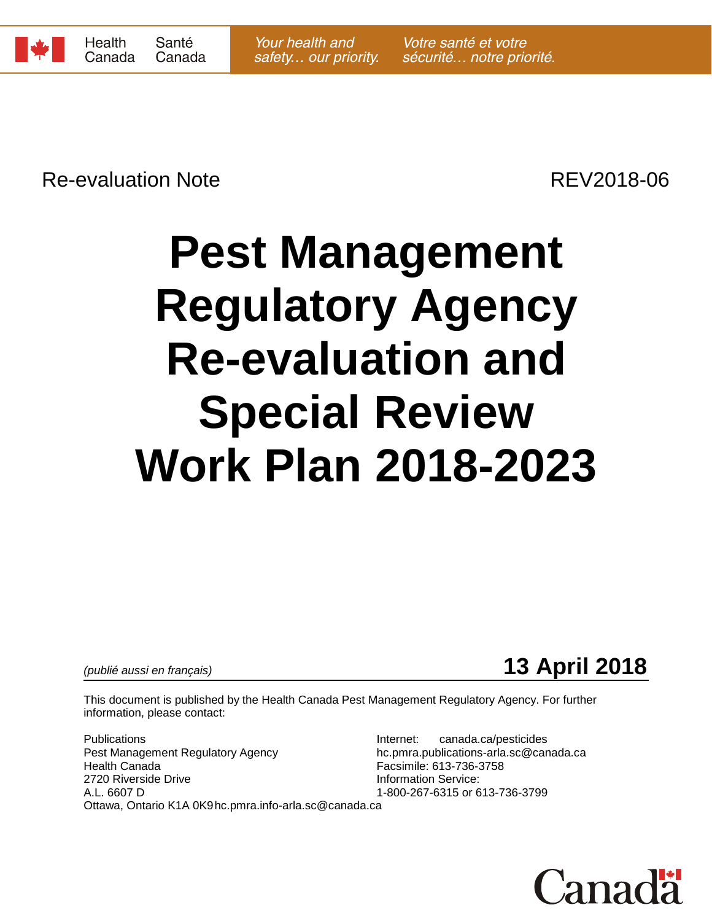

Re-evaluation Note **Re-evaluation** Note

# **Pest Management Regulatory Agency Re-evaluation and Special Review Work Plan 2018-2023**

*(publié aussi en français)* **13 April 2018**

This document is published by the Health Canada Pest Management Regulatory Agency. For further information, please contact:

Publications **Internet:** canada.ca/pesticides Pest Management Regulatory Agency hc.pmra.publications-arla.sc@canada.ca Health Canada Facsimile: 613-736-3758 2720 Riverside Drive **Information Service:**<br>A.L. 6607 D<br>A.L. 6607 D Ottawa, Ontario K1A 0K9hc.pmra.info-arla.sc@canada.ca

1-800-267-6315 or 613-736-3799

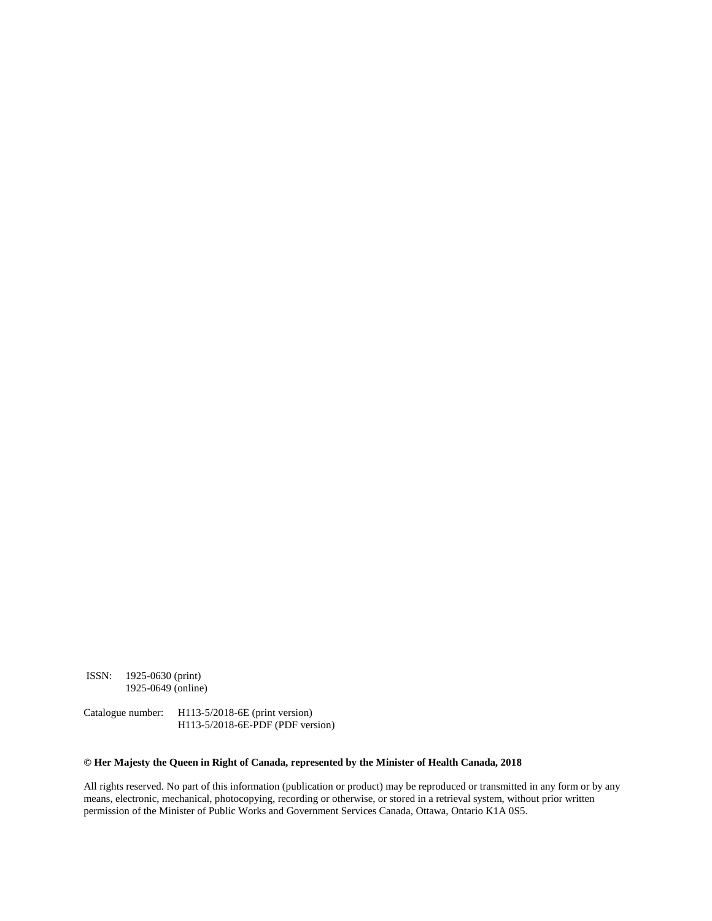ISSN: 1925-0630 (print) 1925-0649 (online)

Catalogue number: H113-5/2018-6E (print version) H113-5/2018-6E-PDF (PDF version)

#### **© Her Majesty the Queen in Right of Canada, represented by the Minister of Health Canada, 2018**

All rights reserved. No part of this information (publication or product) may be reproduced or transmitted in any form or by any means, electronic, mechanical, photocopying, recording or otherwise, or stored in a retrieval system, without prior written permission of the Minister of Public Works and Government Services Canada, Ottawa, Ontario K1A 0S5.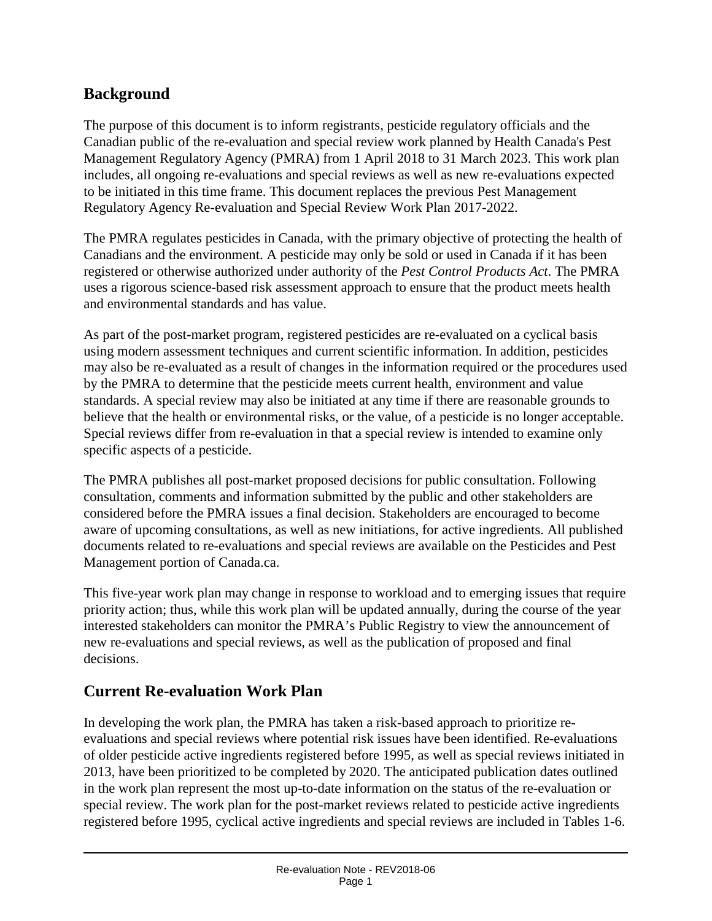## **Background**

The purpose of this document is to inform registrants, pesticide regulatory officials and the Canadian public of the re-evaluation and special review work planned by Health Canada's Pest Management Regulatory Agency (PMRA) from 1 April 2018 to 31 March 2023. This work plan includes, all ongoing re-evaluations and special reviews as well as new re-evaluations expected to be initiated in this time frame. This document replaces the previous Pest Management Regulatory Agency Re-evaluation and Special Review Work Plan 2017-2022.

The PMRA regulates pesticides in Canada, with the primary objective of protecting the health of Canadians and the environment. A pesticide may only be sold or used in Canada if it has been registered or otherwise authorized under authority of the *Pest Control Products Act*. The PMRA uses a rigorous science-based risk assessment approach to ensure that the product meets health and environmental standards and has value.

As part of the post-market program, registered pesticides are re-evaluated on a cyclical basis using modern assessment techniques and current scientific information. In addition, pesticides may also be re-evaluated as a result of changes in the information required or the procedures used by the PMRA to determine that the pesticide meets current health, environment and value standards. A special review may also be initiated at any time if there are reasonable grounds to believe that the health or environmental risks, or the value, of a pesticide is no longer acceptable. Special reviews differ from re-evaluation in that a special review is intended to examine only specific aspects of a pesticide.

The PMRA publishes all post-market proposed decisions for public consultation. Following consultation, comments and information submitted by the public and other stakeholders are considered before the PMRA issues a final decision. Stakeholders are encouraged to become aware of upcoming consultations, as well as new initiations, for active ingredients. All published documents related to re-evaluations and special reviews are available on the Pesticides and Pest Management portion of Canada.ca.

This five-year work plan may change in response to workload and to emerging issues that require priority action; thus, while this work plan will be updated annually, during the course of the year interested stakeholders can monitor the PMRA's Public Registry to view the announcement of new re-evaluations and special reviews, as well as the publication of proposed and final decisions.

## **Current Re-evaluation Work Plan**

In developing the work plan, the PMRA has taken a risk-based approach to prioritize reevaluations and special reviews where potential risk issues have been identified. Re-evaluations of older pesticide active ingredients registered before 1995, as well as special reviews initiated in 2013, have been prioritized to be completed by 2020. The anticipated publication dates outlined in the work plan represent the most up-to-date information on the status of the re-evaluation or special review. The work plan for the post-market reviews related to pesticide active ingredients registered before 1995, cyclical active ingredients and special reviews are included in Tables 1-6.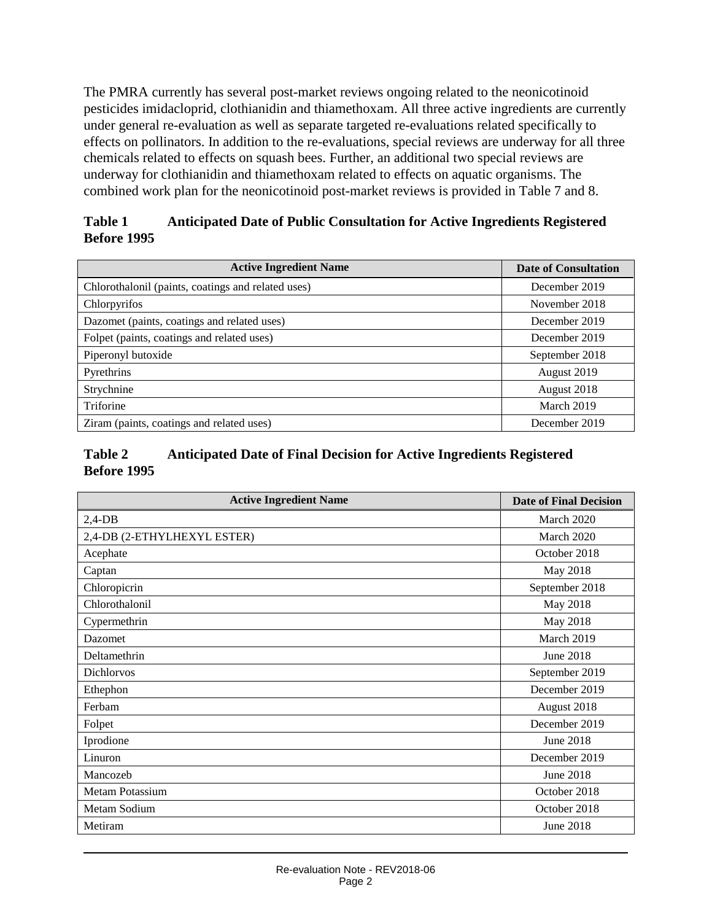The PMRA currently has several post-market reviews ongoing related to the neonicotinoid pesticides imidacloprid, clothianidin and thiamethoxam. All three active ingredients are currently under general re-evaluation as well as separate targeted re-evaluations related specifically to effects on pollinators. In addition to the re-evaluations, special reviews are underway for all three chemicals related to effects on squash bees. Further, an additional two special reviews are underway for clothianidin and thiamethoxam related to effects on aquatic organisms. The combined work plan for the neonicotinoid post-market reviews is provided in Table 7 and 8.

#### **Table 1 Anticipated Date of Public Consultation for Active Ingredients Registered Before 1995**

| <b>Active Ingredient Name</b>                      | <b>Date of Consultation</b> |
|----------------------------------------------------|-----------------------------|
| Chlorothalonil (paints, coatings and related uses) | December 2019               |
| Chlorpyrifos                                       | November 2018               |
| Dazomet (paints, coatings and related uses)        | December 2019               |
| Folpet (paints, coatings and related uses)         | December 2019               |
| Piperonyl butoxide                                 | September 2018              |
| Pyrethrins                                         | August 2019                 |
| Strychnine                                         | August 2018                 |
| Triforine                                          | March 2019                  |
| Ziram (paints, coatings and related uses)          | December 2019               |

#### **Table 2 Anticipated Date of Final Decision for Active Ingredients Registered Before 1995**

| <b>Active Ingredient Name</b> | <b>Date of Final Decision</b> |  |
|-------------------------------|-------------------------------|--|
| $2,4$ -DB                     | March 2020                    |  |
| 2,4-DB (2-ETHYLHEXYL ESTER)   | March 2020                    |  |
| Acephate                      | October 2018                  |  |
| Captan                        | May 2018                      |  |
| Chloropicrin                  | September 2018                |  |
| Chlorothalonil                | May 2018                      |  |
| Cypermethrin                  | May 2018                      |  |
| Dazomet                       | March 2019                    |  |
| Deltamethrin                  | June 2018                     |  |
| <b>Dichlorvos</b>             | September 2019                |  |
| Ethephon                      | December 2019                 |  |
| Ferbam                        | August 2018                   |  |
| Folpet                        | December 2019                 |  |
| Iprodione                     | June 2018                     |  |
| Linuron                       | December 2019                 |  |
| Mancozeb                      | June 2018                     |  |
| <b>Metam Potassium</b>        | October 2018                  |  |
| Metam Sodium                  | October 2018                  |  |
| Metiram                       | June 2018                     |  |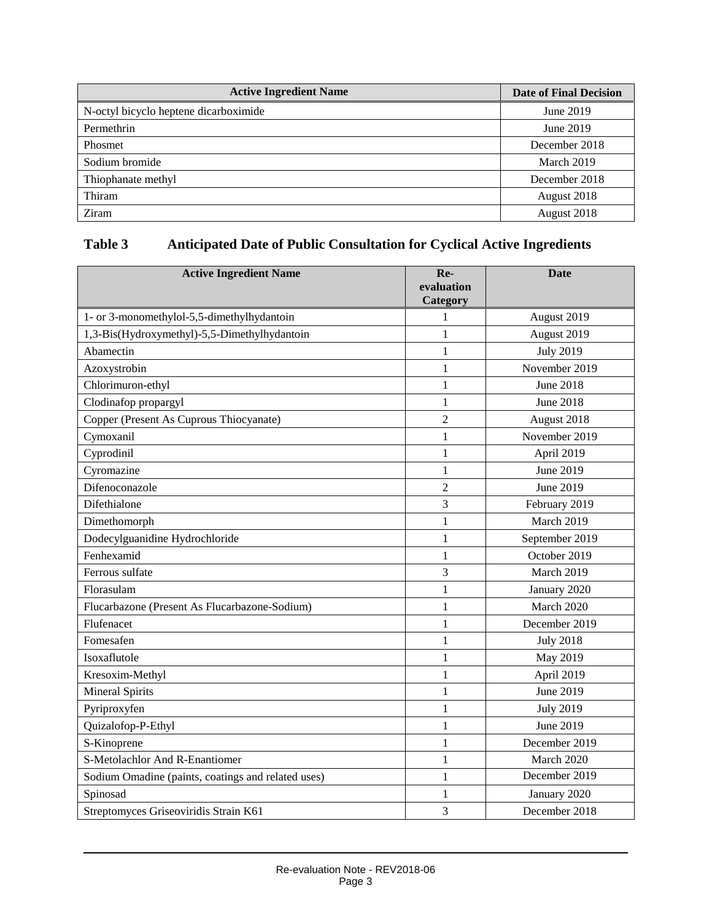| <b>Active Ingredient Name</b>         | <b>Date of Final Decision</b> |  |
|---------------------------------------|-------------------------------|--|
| N-octyl bicyclo heptene dicarboximide | June 2019                     |  |
| Permethrin                            | June 2019                     |  |
| Phosmet                               | December 2018                 |  |
| Sodium bromide                        | March 2019                    |  |
| Thiophanate methyl                    | December 2018                 |  |
| Thiram                                | August 2018                   |  |
| Ziram                                 | August 2018                   |  |

## **Table 3 Anticipated Date of Public Consultation for Cyclical Active Ingredients**

| <b>Active Ingredient Name</b>                      | Re-<br>evaluation | Date             |  |
|----------------------------------------------------|-------------------|------------------|--|
|                                                    | Category          |                  |  |
| 1- or 3-monomethylol-5,5-dimethylhydantoin         | 1                 | August 2019      |  |
| 1,3-Bis(Hydroxymethyl)-5,5-Dimethylhydantoin       | 1                 | August 2019      |  |
| Abamectin                                          | $\mathbf{1}$      | <b>July 2019</b> |  |
| Azoxystrobin                                       | $\mathbf{1}$      | November 2019    |  |
| Chlorimuron-ethyl                                  | $\mathbf{1}$      | <b>June 2018</b> |  |
| Clodinafop propargyl                               | $\mathbf{1}$      | <b>June 2018</b> |  |
| Copper (Present As Cuprous Thiocyanate)            | $\overline{2}$    | August 2018      |  |
| Cymoxanil                                          | $\mathbf{1}$      | November 2019    |  |
| Cyprodinil                                         | $\mathbf{1}$      | April 2019       |  |
| Cyromazine                                         | $\mathbf{1}$      | June 2019        |  |
| Difenoconazole                                     | $\overline{2}$    | June 2019        |  |
| Difethialone                                       | 3                 | February 2019    |  |
| Dimethomorph                                       | $\mathbf{1}$      | March 2019       |  |
| Dodecylguanidine Hydrochloride                     | 1                 | September 2019   |  |
| Fenhexamid                                         | $\mathbf{1}$      | October 2019     |  |
| Ferrous sulfate                                    | 3                 | March 2019       |  |
| Florasulam                                         | $\mathbf{1}$      | January 2020     |  |
| Flucarbazone (Present As Flucarbazone-Sodium)      | $\mathbf{1}$      | March 2020       |  |
| Flufenacet                                         | $\mathbf{1}$      | December 2019    |  |
| Fomesafen                                          | 1                 | <b>July 2018</b> |  |
| Isoxaflutole                                       | $\mathbf{1}$      | May 2019         |  |
| Kresoxim-Methyl                                    | 1                 | April 2019       |  |
| <b>Mineral Spirits</b>                             | $\mathbf{1}$      | June 2019        |  |
| Pyriproxyfen                                       | $\mathbf{1}$      | <b>July 2019</b> |  |
| Quizalofop-P-Ethyl                                 | $\mathbf{1}$      | June 2019        |  |
| S-Kinoprene                                        | 1                 | December 2019    |  |
| S-Metolachlor And R-Enantiomer                     | $\mathbf{1}$      | March 2020       |  |
| Sodium Omadine (paints, coatings and related uses) | $\mathbf{1}$      | December 2019    |  |
| Spinosad                                           | $\mathbf{1}$      | January 2020     |  |
| Streptomyces Griseoviridis Strain K61              | 3                 | December 2018    |  |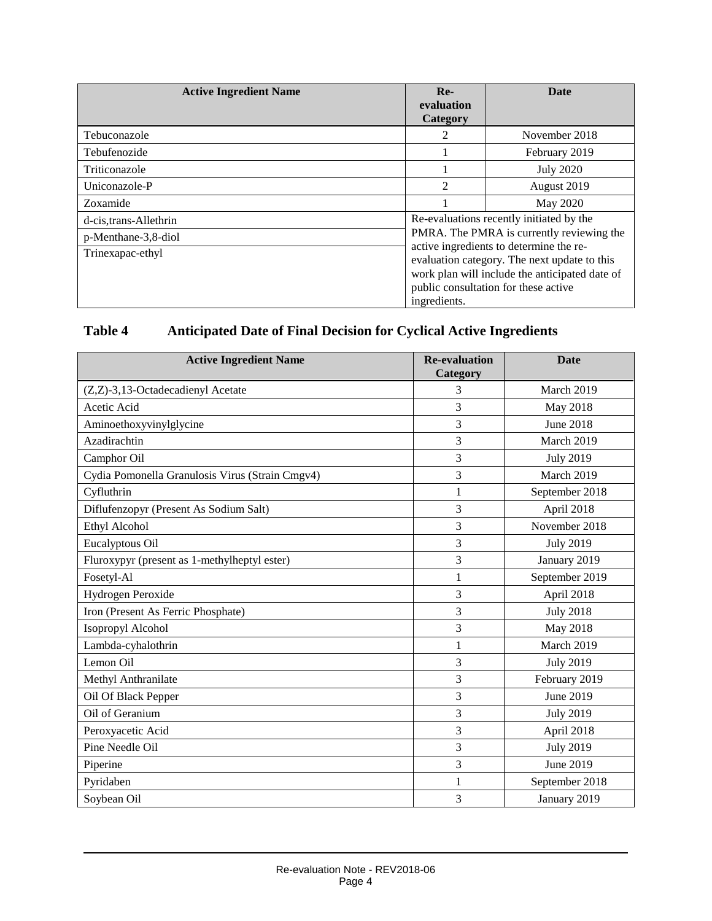| <b>Active Ingredient Name</b> | $Re-$<br>evaluation<br><b>Category</b>                                                                                                                                            | <b>Date</b>      |  |
|-------------------------------|-----------------------------------------------------------------------------------------------------------------------------------------------------------------------------------|------------------|--|
| Tebuconazole                  | 2                                                                                                                                                                                 | November 2018    |  |
| Tebufenozide                  |                                                                                                                                                                                   | February 2019    |  |
| Triticonazole                 |                                                                                                                                                                                   | <b>July 2020</b> |  |
| Uniconazole-P                 | 2                                                                                                                                                                                 | August 2019      |  |
| Zoxamide                      |                                                                                                                                                                                   | May 2020         |  |
| d-cis,trans-Allethrin         | Re-evaluations recently initiated by the                                                                                                                                          |                  |  |
| p-Menthane-3,8-diol           | PMRA. The PMRA is currently reviewing the                                                                                                                                         |                  |  |
| Trinexapac-ethyl              | active ingredients to determine the re-<br>evaluation category. The next update to this<br>work plan will include the anticipated date of<br>public consultation for these active |                  |  |
|                               | ingredients.                                                                                                                                                                      |                  |  |

## **Table 4 Anticipated Date of Final Decision for Cyclical Active Ingredients**

| <b>Active Ingredient Name</b>                   | <b>Re-evaluation</b><br>Category | <b>Date</b>      |
|-------------------------------------------------|----------------------------------|------------------|
| (Z,Z)-3,13-Octadecadienyl Acetate               | 3                                | March 2019       |
| Acetic Acid                                     | 3                                | May 2018         |
| Aminoethoxyvinylglycine                         | 3                                | June 2018        |
| Azadirachtin                                    | 3                                | March 2019       |
| Camphor Oil                                     | 3                                | <b>July 2019</b> |
| Cydia Pomonella Granulosis Virus (Strain Cmgv4) | 3                                | March 2019       |
| Cyfluthrin                                      | 1                                | September 2018   |
| Diflufenzopyr (Present As Sodium Salt)          | 3                                | April 2018       |
| Ethyl Alcohol                                   | 3                                | November 2018    |
| Eucalyptous Oil                                 | 3                                | <b>July 2019</b> |
| Fluroxypyr (present as 1-methylheptyl ester)    | 3                                | January 2019     |
| Fosetyl-Al                                      | 1                                | September 2019   |
| Hydrogen Peroxide                               | 3                                | April 2018       |
| Iron (Present As Ferric Phosphate)              | 3                                | <b>July 2018</b> |
| Isopropyl Alcohol                               | 3                                | May 2018         |
| Lambda-cyhalothrin                              | $\mathbf{1}$                     | March 2019       |
| Lemon Oil                                       | 3                                | <b>July 2019</b> |
| Methyl Anthranilate                             | 3                                | February 2019    |
| Oil Of Black Pepper                             | 3                                | June 2019        |
| Oil of Geranium                                 | 3                                | <b>July 2019</b> |
| Peroxyacetic Acid                               | 3                                | April 2018       |
| Pine Needle Oil                                 | 3                                | <b>July 2019</b> |
| Piperine                                        | 3                                | June 2019        |
| Pyridaben                                       | 1                                | September 2018   |
| Soybean Oil                                     | 3                                | January 2019     |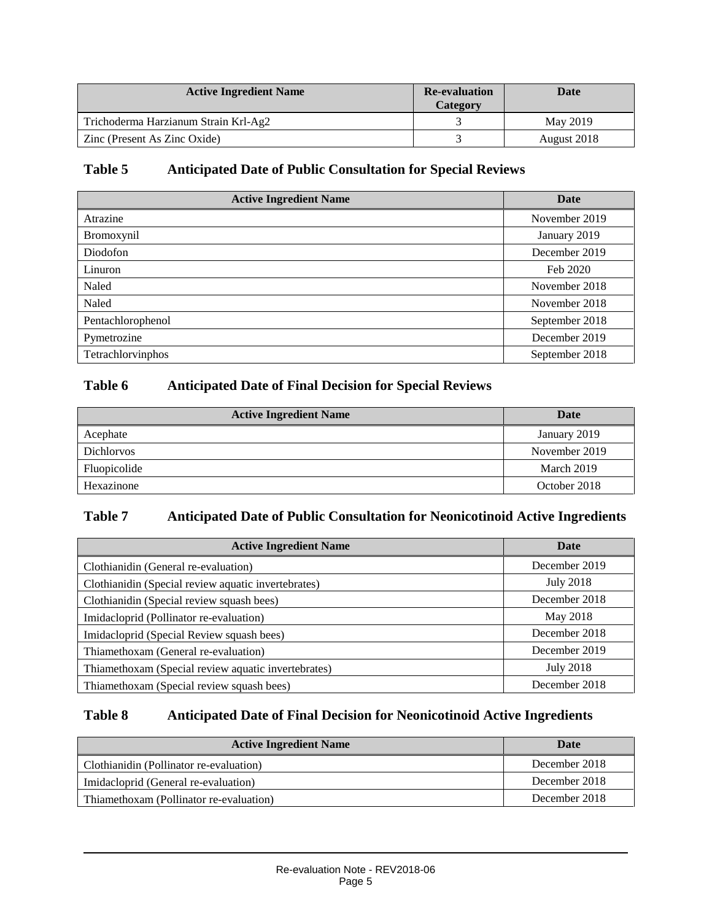| <b>Active Ingredient Name</b>        | <b>Re-evaluation</b><br>Category | Date        |
|--------------------------------------|----------------------------------|-------------|
| Trichoderma Harzianum Strain Krl-Ag2 |                                  | May 2019    |
| Zinc (Present As Zinc Oxide)         |                                  | August 2018 |

#### **Table 5 Anticipated Date of Public Consultation for Special Reviews**

| <b>Active Ingredient Name</b> | Date           |
|-------------------------------|----------------|
| Atrazine                      | November 2019  |
| Bromoxynil                    | January 2019   |
| Diodofon                      | December 2019  |
| Linuron                       | Feb 2020       |
| Naled                         | November 2018  |
| Naled                         | November 2018  |
| Pentachlorophenol             | September 2018 |
| Pymetrozine                   | December 2019  |
| Tetrachlorvinphos             | September 2018 |

## **Table 6 Anticipated Date of Final Decision for Special Reviews**

| <b>Active Ingredient Name</b> | Date          |  |
|-------------------------------|---------------|--|
| Acephate                      | January 2019  |  |
| <b>Dichlorvos</b>             | November 2019 |  |
| Fluopicolide                  | March 2019    |  |
| Hexazinone                    | October 2018  |  |

#### **Table 7 Anticipated Date of Public Consultation for Neonicotinoid Active Ingredients**

| <b>Active Ingredient Name</b>                       | Date             |  |
|-----------------------------------------------------|------------------|--|
| Clothianidin (General re-evaluation)                | December 2019    |  |
| Clothianidin (Special review aquatic invertebrates) | <b>July 2018</b> |  |
| Clothianidin (Special review squash bees)           | December 2018    |  |
| Imidacloprid (Pollinator re-evaluation)             | May 2018         |  |
| Imidacloprid (Special Review squash bees)           | December 2018    |  |
| Thiamethoxam (General re-evaluation)                | December 2019    |  |
| Thiamethoxam (Special review aquatic invertebrates) | <b>July 2018</b> |  |
| Thiamethoxam (Special review squash bees)           | December 2018    |  |

#### **Table 8 Anticipated Date of Final Decision for Neonicotinoid Active Ingredients**

| <b>Active Ingredient Name</b>           | Date          |  |
|-----------------------------------------|---------------|--|
| Clothianidin (Pollinator re-evaluation) | December 2018 |  |
| Imidacloprid (General re-evaluation)    | December 2018 |  |
| Thiamethoxam (Pollinator re-evaluation) | December 2018 |  |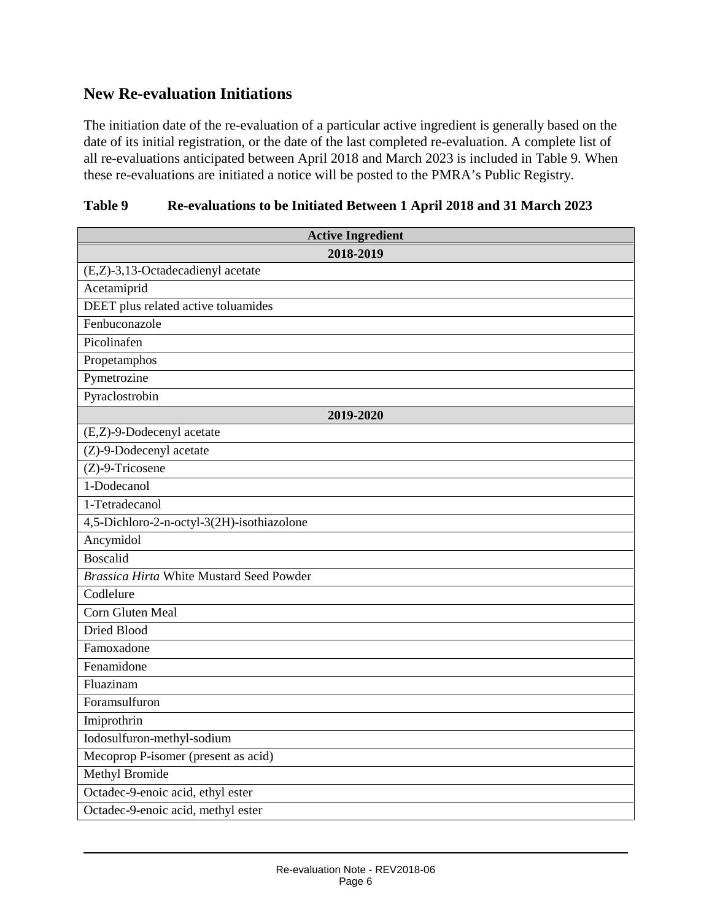## **New Re-evaluation Initiations**

The initiation date of the re-evaluation of a particular active ingredient is generally based on the date of its initial registration, or the date of the last completed re-evaluation. A complete list of all re-evaluations anticipated between April 2018 and March 2023 is included in Table 9. When these re-evaluations are initiated a notice will be posted to the PMRA's Public Registry.

| Table 9 | Re-evaluations to be Initiated Between 1 April 2018 and 31 March 2023 |  |  |
|---------|-----------------------------------------------------------------------|--|--|
|         |                                                                       |  |  |

| <b>Active Ingredient</b>                        |
|-------------------------------------------------|
| 2018-2019                                       |
| (E,Z)-3,13-Octadecadienyl acetate               |
| Acetamiprid                                     |
| DEET plus related active toluamides             |
| Fenbuconazole                                   |
| Picolinafen                                     |
| Propetamphos                                    |
| Pymetrozine                                     |
| Pyraclostrobin                                  |
| 2019-2020                                       |
| (E,Z)-9-Dodecenyl acetate                       |
| (Z)-9-Dodecenyl acetate                         |
| $(Z)$ -9-Tricosene                              |
| 1-Dodecanol                                     |
| 1-Tetradecanol                                  |
| 4,5-Dichloro-2-n-octyl-3(2H)-isothiazolone      |
| Ancymidol                                       |
| Boscalid                                        |
| <b>Brassica Hirta White Mustard Seed Powder</b> |
| Codlelure                                       |
| Corn Gluten Meal                                |
| Dried Blood                                     |
| Famoxadone                                      |
| Fenamidone                                      |
| Fluazinam                                       |
| Foramsulfuron                                   |
| Imiprothrin                                     |
| Iodosulfuron-methyl-sodium                      |
| Mecoprop P-isomer (present as acid)             |
| <b>Methyl Bromide</b>                           |
| Octadec-9-enoic acid, ethyl ester               |
| Octadec-9-enoic acid, methyl ester              |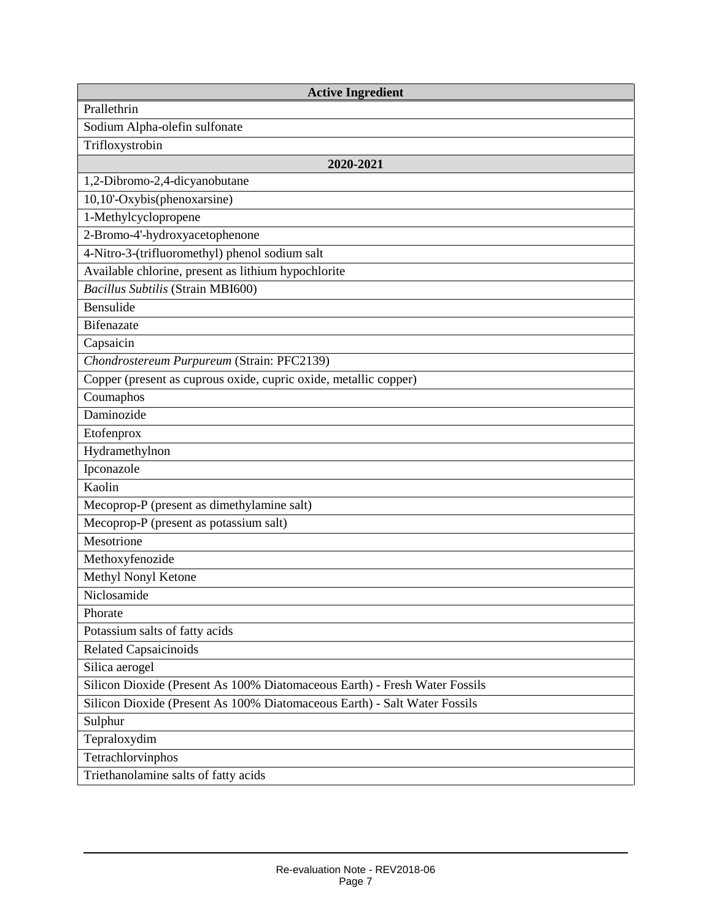| <b>Active Ingredient</b>                                                   |
|----------------------------------------------------------------------------|
| Prallethrin                                                                |
| Sodium Alpha-olefin sulfonate                                              |
| Trifloxystrobin                                                            |
| 2020-2021                                                                  |
| 1,2-Dibromo-2,4-dicyanobutane                                              |
| 10,10'-Oxybis(phenoxarsine)                                                |
| 1-Methylcyclopropene                                                       |
| 2-Bromo-4'-hydroxyacetophenone                                             |
| 4-Nitro-3-(trifluoromethyl) phenol sodium salt                             |
| Available chlorine, present as lithium hypochlorite                        |
| Bacillus Subtilis (Strain MBI600)                                          |
| Bensulide                                                                  |
| <b>Bifenazate</b>                                                          |
| Capsaicin                                                                  |
| Chondrostereum Purpureum (Strain: PFC2139)                                 |
| Copper (present as cuprous oxide, cupric oxide, metallic copper)           |
| Coumaphos                                                                  |
| Daminozide                                                                 |
| Etofenprox                                                                 |
| Hydramethylnon                                                             |
| Ipconazole                                                                 |
| Kaolin                                                                     |
| Mecoprop-P (present as dimethylamine salt)                                 |
| Mecoprop-P (present as potassium salt)                                     |
| Mesotrione                                                                 |
| Methoxyfenozide                                                            |
| Methyl Nonyl Ketone                                                        |
| Niclosamide                                                                |
| Phorate                                                                    |
| Potassium salts of fatty acids                                             |
| <b>Related Capsaicinoids</b>                                               |
| Silica aerogel                                                             |
| Silicon Dioxide (Present As 100% Diatomaceous Earth) - Fresh Water Fossils |
| Silicon Dioxide (Present As 100% Diatomaceous Earth) - Salt Water Fossils  |
| Sulphur                                                                    |
| Tepraloxydim                                                               |
| Tetrachlorvinphos                                                          |
| Triethanolamine salts of fatty acids                                       |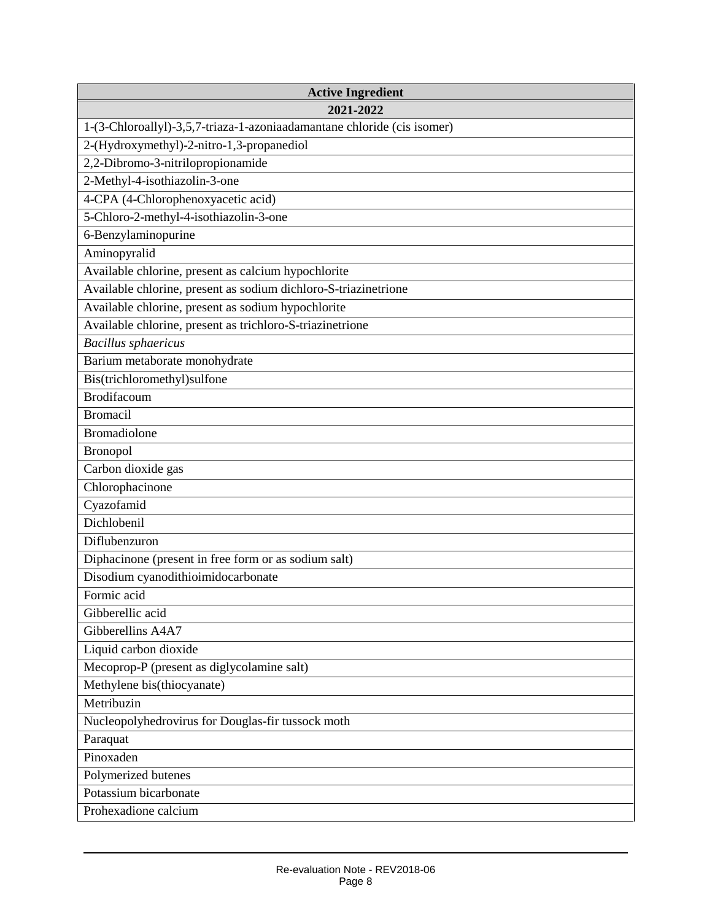| <b>Active Ingredient</b>                                                |
|-------------------------------------------------------------------------|
| 2021-2022                                                               |
| 1-(3-Chloroallyl)-3,5,7-triaza-1-azoniaadamantane chloride (cis isomer) |
| 2-(Hydroxymethyl)-2-nitro-1,3-propanediol                               |
| 2,2-Dibromo-3-nitrilopropionamide                                       |
| 2-Methyl-4-isothiazolin-3-one                                           |
| 4-CPA (4-Chlorophenoxyacetic acid)                                      |
| 5-Chloro-2-methyl-4-isothiazolin-3-one                                  |
| 6-Benzylaminopurine                                                     |
| Aminopyralid                                                            |
| Available chlorine, present as calcium hypochlorite                     |
| Available chlorine, present as sodium dichloro-S-triazinetrione         |
| Available chlorine, present as sodium hypochlorite                      |
| Available chlorine, present as trichloro-S-triazinetrione               |
| <b>Bacillus</b> sphaericus                                              |
| Barium metaborate monohydrate                                           |
| Bis(trichloromethyl)sulfone                                             |
| <b>Brodifacoum</b>                                                      |
| <b>Bromacil</b>                                                         |
| <b>Bromadiolone</b>                                                     |
| <b>Bronopol</b>                                                         |
| Carbon dioxide gas                                                      |
| Chlorophacinone                                                         |
| Cyazofamid                                                              |
| Dichlobenil                                                             |
| Diflubenzuron                                                           |
| Diphacinone (present in free form or as sodium salt)                    |
| Disodium cyanodithioimidocarbonate                                      |
| Formic acid                                                             |
| Gibberellic acid                                                        |
| Gibberellins A4A7                                                       |
| Liquid carbon dioxide                                                   |
| Mecoprop-P (present as diglycolamine salt)                              |
| Methylene bis(thiocyanate)                                              |
| Metribuzin                                                              |
| Nucleopolyhedrovirus for Douglas-fir tussock moth                       |
| Paraquat                                                                |
| Pinoxaden                                                               |
| Polymerized butenes                                                     |
| Potassium bicarbonate                                                   |
| Prohexadione calcium                                                    |